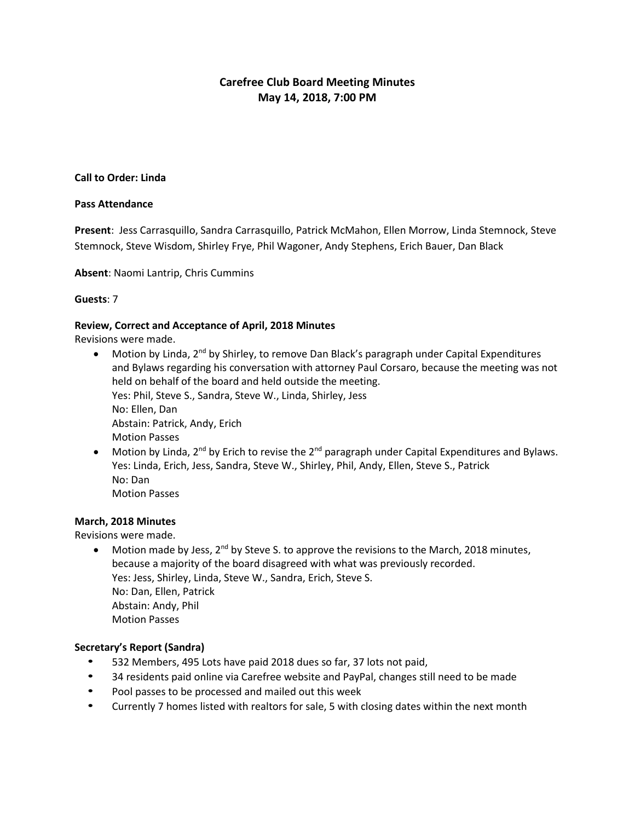# **Carefree Club Board Meeting Minutes May 14, 2018, 7:00 PM**

## **Call to Order: Linda**

#### **Pass Attendance**

**Present**: Jess Carrasquillo, Sandra Carrasquillo, Patrick McMahon, Ellen Morrow, Linda Stemnock, Steve Stemnock, Steve Wisdom, Shirley Frye, Phil Wagoner, Andy Stephens, Erich Bauer, Dan Black

**Absent**: Naomi Lantrip, Chris Cummins

## **Guests**: 7

#### **Review, Correct and Acceptance of April, 2018 Minutes**

Revisions were made.

- Motion by Linda, 2<sup>nd</sup> by Shirley, to remove Dan Black's paragraph under Capital Expenditures and Bylaws regarding his conversation with attorney Paul Corsaro, because the meeting was not held on behalf of the board and held outside the meeting. Yes: Phil, Steve S., Sandra, Steve W., Linda, Shirley, Jess No: Ellen, Dan Abstain: Patrick, Andy, Erich Motion Passes
- Motion by Linda, 2<sup>nd</sup> by Erich to revise the 2<sup>nd</sup> paragraph under Capital Expenditures and Bylaws. Yes: Linda, Erich, Jess, Sandra, Steve W., Shirley, Phil, Andy, Ellen, Steve S., Patrick No: Dan Motion Passes

## **March, 2018 Minutes**

Revisions were made.

 $\bullet$  Motion made by Jess, 2<sup>nd</sup> by Steve S. to approve the revisions to the March, 2018 minutes, because a majority of the board disagreed with what was previously recorded. Yes: Jess, Shirley, Linda, Steve W., Sandra, Erich, Steve S. No: Dan, Ellen, Patrick Abstain: Andy, Phil Motion Passes

# **Secretary's Report (Sandra)**

- 532 Members, 495 Lots have paid 2018 dues so far, 37 lots not paid,
- 34 residents paid online via Carefree website and PayPal, changes still need to be made
- Pool passes to be processed and mailed out this week
- Currently 7 homes listed with realtors for sale, 5 with closing dates within the next month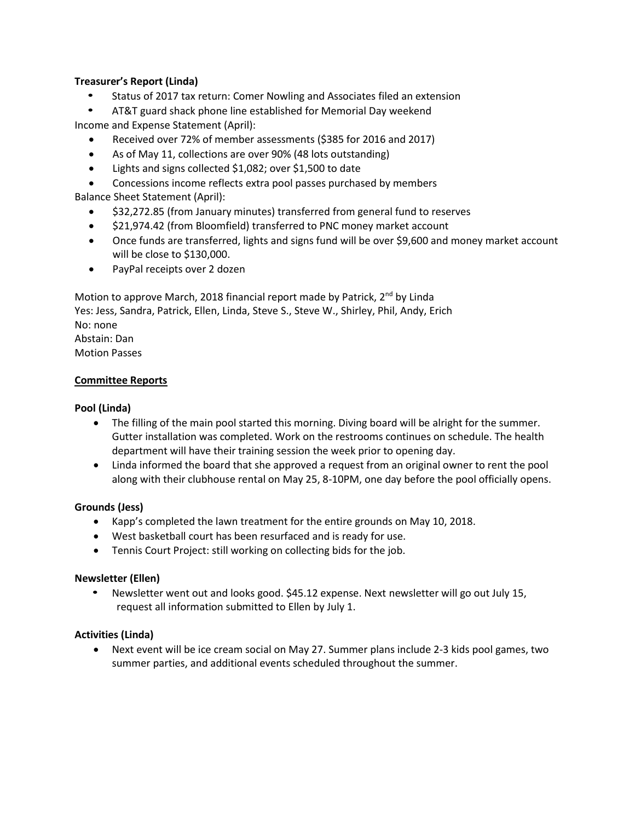# **Treasurer's Report (Linda)**

• Status of 2017 tax return: Comer Nowling and Associates filed an extension

• AT&T guard shack phone line established for Memorial Day weekend Income and Expense Statement (April):

- Received over 72% of member assessments (\$385 for 2016 and 2017)
- As of May 11, collections are over 90% (48 lots outstanding)
- Lights and signs collected \$1,082; over \$1,500 to date

Concessions income reflects extra pool passes purchased by members

Balance Sheet Statement (April):

- \$32,272.85 (from January minutes) transferred from general fund to reserves
- \$21,974.42 (from Bloomfield) transferred to PNC money market account
- Once funds are transferred, lights and signs fund will be over \$9,600 and money market account will be close to \$130,000.
- PayPal receipts over 2 dozen

Motion to approve March, 2018 financial report made by Patrick, 2<sup>nd</sup> by Linda Yes: Jess, Sandra, Patrick, Ellen, Linda, Steve S., Steve W., Shirley, Phil, Andy, Erich No: none Abstain: Dan Motion Passes

## **Committee Reports**

## **Pool (Linda)**

- The filling of the main pool started this morning. Diving board will be alright for the summer. Gutter installation was completed. Work on the restrooms continues on schedule. The health department will have their training session the week prior to opening day.
- Linda informed the board that she approved a request from an original owner to rent the pool along with their clubhouse rental on May 25, 8-10PM, one day before the pool officially opens.

## **Grounds (Jess)**

- Kapp's completed the lawn treatment for the entire grounds on May 10, 2018.
- West basketball court has been resurfaced and is ready for use.
- Tennis Court Project: still working on collecting bids for the job.

## **Newsletter (Ellen)**

• Newsletter went out and looks good. \$45.12 expense. Next newsletter will go out July 15, request all information submitted to Ellen by July 1.

## **Activities (Linda)**

 Next event will be ice cream social on May 27. Summer plans include 2-3 kids pool games, two summer parties, and additional events scheduled throughout the summer.